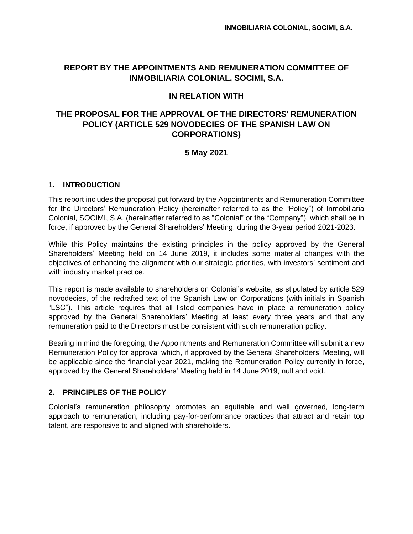# **REPORT BY THE APPOINTMENTS AND REMUNERATION COMMITTEE OF INMOBILIARIA COLONIAL, SOCIMI, S.A.**

# **IN RELATION WITH**

# **THE PROPOSAL FOR THE APPROVAL OF THE DIRECTORS' REMUNERATION POLICY (ARTICLE 529 NOVODECIES OF THE SPANISH LAW ON CORPORATIONS)**

# **5 May 2021**

## **1. INTRODUCTION**

This report includes the proposal put forward by the Appointments and Remuneration Committee for the Directors' Remuneration Policy (hereinafter referred to as the "Policy") of Inmobiliaria Colonial, SOCIMI, S.A. (hereinafter referred to as "Colonial" or the "Company"), which shall be in force, if approved by the General Shareholders' Meeting, during the 3-year period 2021-2023.

While this Policy maintains the existing principles in the policy approved by the General Shareholders' Meeting held on 14 June 2019, it includes some material changes with the objectives of enhancing the alignment with our strategic priorities, with investors' sentiment and with industry market practice.

This report is made available to shareholders on Colonial's website, as stipulated by article 529 novodecies, of the redrafted text of the Spanish Law on Corporations (with initials in Spanish "LSC"). This article requires that all listed companies have in place a remuneration policy approved by the General Shareholders' Meeting at least every three years and that any remuneration paid to the Directors must be consistent with such remuneration policy.

Bearing in mind the foregoing, the Appointments and Remuneration Committee will submit a new Remuneration Policy for approval which, if approved by the General Shareholders' Meeting, will be applicable since the financial year 2021, making the Remuneration Policy currently in force, approved by the General Shareholders' Meeting held in 14 June 2019, null and void.

## **2. PRINCIPLES OF THE POLICY**

Colonial's remuneration philosophy promotes an equitable and well governed, long-term approach to remuneration, including pay-for-performance practices that attract and retain top talent, are responsive to and aligned with shareholders.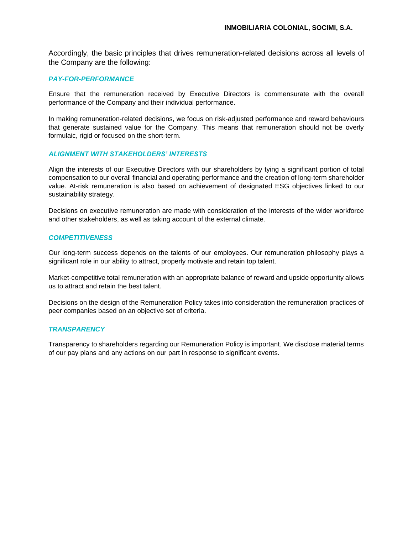Accordingly, the basic principles that drives remuneration-related decisions across all levels of the Company are the following:

### *PAY-FOR-PERFORMANCE*

Ensure that the remuneration received by Executive Directors is commensurate with the overall performance of the Company and their individual performance.

In making remuneration-related decisions, we focus on risk-adjusted performance and reward behaviours that generate sustained value for the Company. This means that remuneration should not be overly formulaic, rigid or focused on the short-term.

#### *ALIGNMENT WITH STAKEHOLDERS' INTERESTS*

Align the interests of our Executive Directors with our shareholders by tying a significant portion of total compensation to our overall financial and operating performance and the creation of long-term shareholder value. At-risk remuneration is also based on achievement of designated ESG objectives linked to our sustainability strategy.

Decisions on executive remuneration are made with consideration of the interests of the wider workforce and other stakeholders, as well as taking account of the external climate.

### *COMPETITIVENESS*

Our long-term success depends on the talents of our employees. Our remuneration philosophy plays a significant role in our ability to attract, properly motivate and retain top talent.

Market-competitive total remuneration with an appropriate balance of reward and upside opportunity allows us to attract and retain the best talent.

Decisions on the design of the Remuneration Policy takes into consideration the remuneration practices of peer companies based on an objective set of criteria.

#### *TRANSPARENCY*

Transparency to shareholders regarding our Remuneration Policy is important. We disclose material terms of our pay plans and any actions on our part in response to significant events.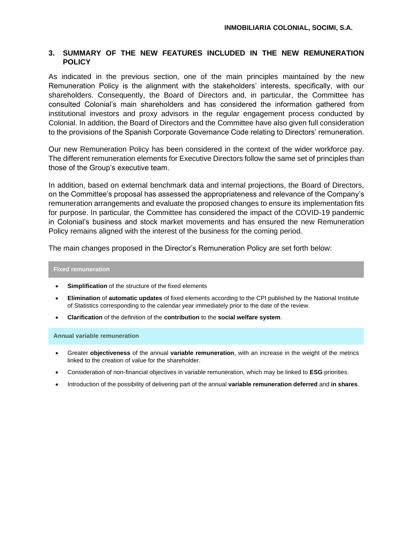## **3. SUMMARY OF THE NEW FEATURES INCLUDED IN THE NEW REMUNERATION POLICY**

As indicated in the previous section, one of the main principles maintained by the new Remuneration Policy is the alignment with the stakeholders' interests, specifically, with our shareholders. Consequently, the Board of Directors and, in particular, the Committee has consulted Colonial's main shareholders and has considered the information gathered from institutional investors and proxy advisors in the regular engagement process conducted by Colonial. In addition, the Board of Directors and the Committee have also given full consideration to the provisions of the Spanish Corporate Governance Code relating to Directors' remuneration.

Our new Remuneration Policy has been considered in the context of the wider workforce pay. The different remuneration elements for Executive Directors follow the same set of principles than those of the Group's executive team.

In addition, based on external benchmark data and internal projections, the Board of Directors, on the Committee's proposal has assessed the appropriateness and relevance of the Company's remuneration arrangements and evaluate the proposed changes to ensure its implementation fits for purpose. In particular, the Committee has considered the impact of the COVID-19 pandemic in Colonial's business and stock market movements and has ensured the new Remuneration Policy remains aligned with the interest of the business for the coming period.

The main changes proposed in the Director's Remuneration Policy are set forth below:

### **Fixed remuneration**

- **Simplification** of the structure of the fixed elements
- **Elimination** of **automatic updates** of fixed elements according to the CPI published by the National Institute of Statistics corresponding to the calendar year immediately prior to the date of the review.
- **Clarification** of the definition of the **contribution** to the **social welfare system**.

**Annual variable remuneration**

- Greater **objectiveness** of the annual **variable remuneration**, with an increase in the weight of the metrics linked to the creation of value for the shareholder.
- Consideration of non-financial objectives in variable remuneration, which may be linked to **ESG** priorities.
- Introduction of the possibility of delivering part of the annual **variable remuneration deferred** and **in shares**.